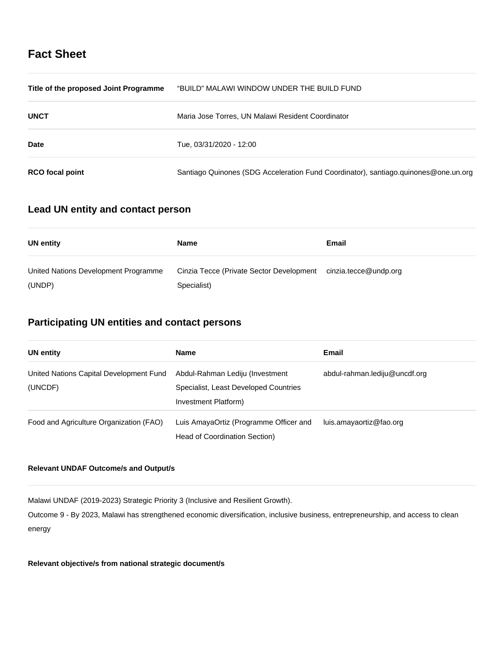# **Fact Sheet**

| Title of the proposed Joint Programme | "BUILD" MALAWI WINDOW UNDER THE BUILD FUND                                          |
|---------------------------------------|-------------------------------------------------------------------------------------|
| <b>UNCT</b>                           | Maria Jose Torres, UN Malawi Resident Coordinator                                   |
| Date                                  | Tue, 03/31/2020 - 12:00                                                             |
| <b>RCO</b> focal point                | Santiago Quinones (SDG Acceleration Fund Coordinator), santiago.quinones@one.un.org |

# **Lead UN entity and contact person**

| UN entity                                      | Name                                                    | Email                 |
|------------------------------------------------|---------------------------------------------------------|-----------------------|
| United Nations Development Programme<br>(UNDP) | Cinzia Tecce (Private Sector Development<br>Specialist) | cinzia.tecce@undp.org |

# **Participating UN entities and contact persons**

| <b>UN entity</b>                                   | <b>Name</b>                                                                                      | Email                         |
|----------------------------------------------------|--------------------------------------------------------------------------------------------------|-------------------------------|
| United Nations Capital Development Fund<br>(UNCDF) | Abdul-Rahman Lediju (Investment<br>Specialist, Least Developed Countries<br>Investment Platform) | abdul-rahman.lediju@uncdf.org |
| Food and Agriculture Organization (FAO)            | Luis AmayaOrtiz (Programme Officer and<br>Head of Coordination Section)                          | luis.amayaortiz@fao.org       |

## **Relevant UNDAF Outcome/s and Output/s**

Malawi UNDAF (2019-2023) Strategic Priority 3 (Inclusive and Resilient Growth).

Outcome 9 - By 2023, Malawi has strengthened economic diversification, inclusive business, entrepreneurship, and access to clean energy

**Relevant objective/s from national strategic document/s**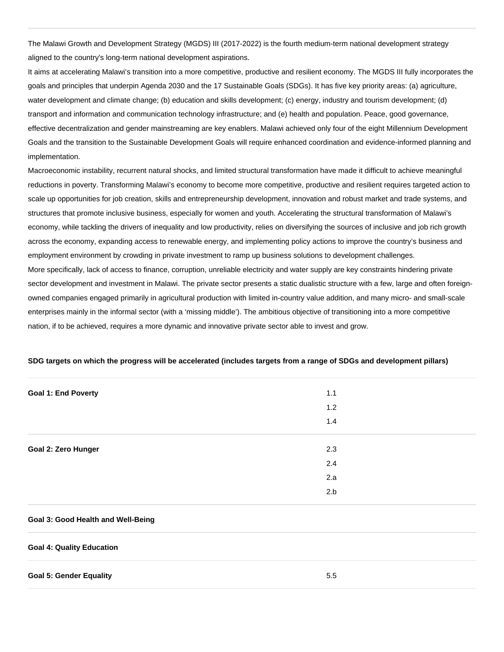The Malawi Growth and Development Strategy (MGDS) III (2017-2022) is the fourth medium-term national development strategy aligned to the country's long-term national development aspirations.

It aims at accelerating Malawi's transition into a more competitive, productive and resilient economy. The MGDS III fully incorporates the goals and principles that underpin Agenda 2030 and the 17 Sustainable Goals (SDGs). It has five key priority areas: (a) agriculture, water development and climate change; (b) education and skills development; (c) energy, industry and tourism development; (d) transport and information and communication technology infrastructure; and (e) health and population. Peace, good governance, effective decentralization and gender mainstreaming are key enablers. Malawi achieved only four of the eight Millennium Development Goals and the transition to the Sustainable Development Goals will require enhanced coordination and evidence-informed planning and implementation.

Macroeconomic instability, recurrent natural shocks, and limited structural transformation have made it difficult to achieve meaningful reductions in poverty. Transforming Malawi's economy to become more competitive, productive and resilient requires targeted action to scale up opportunities for job creation, skills and entrepreneurship development, innovation and robust market and trade systems, and structures that promote inclusive business, especially for women and youth. Accelerating the structural transformation of Malawi's economy, while tackling the drivers of inequality and low productivity, relies on diversifying the sources of inclusive and job rich growth across the economy, expanding access to renewable energy, and implementing policy actions to improve the country's business and employment environment by crowding in private investment to ramp up business solutions to development challenges. More specifically, lack of access to finance, corruption, unreliable electricity and water supply are key constraints hindering private sector development and investment in Malawi. The private sector presents a static dualistic structure with a few, large and often foreignowned companies engaged primarily in agricultural production with limited in-country value addition, and many micro- and small-scale enterprises mainly in the informal sector (with a 'missing middle'). The ambitious objective of transitioning into a more competitive nation, if to be achieved, requires a more dynamic and innovative private sector able to invest and grow.

| <b>Goal 1: End Poverty</b> | 1.1 |
|----------------------------|-----|
|                            | 1.2 |
|                            | 1.4 |
|                            |     |
| <b>Goal 2: Zero Hunger</b> | 2.3 |
|                            | 2.4 |
|                            | 2.a |
|                            | 2.b |

## **SDG targets on which the progress will be accelerated (includes targets from a range of SDGs and development pillars)**

## **Goal 3: Good Health and Well-Being**

### **Goal 4: Quality Education**

#### **Goal 5: Gender Equality** 5.5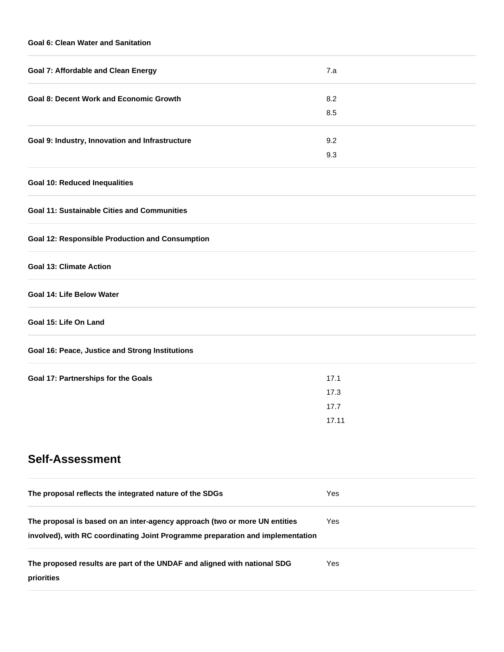## **Goal 6: Clean Water and Sanitation**

| <b>Goal 7: Affordable and Clean Energy</b>                                 | 7.a   |
|----------------------------------------------------------------------------|-------|
| <b>Goal 8: Decent Work and Economic Growth</b>                             | 8.2   |
|                                                                            | 8.5   |
| Goal 9: Industry, Innovation and Infrastructure                            | 9.2   |
|                                                                            | 9.3   |
| <b>Goal 10: Reduced Inequalities</b>                                       |       |
| <b>Goal 11: Sustainable Cities and Communities</b>                         |       |
| <b>Goal 12: Responsible Production and Consumption</b>                     |       |
| <b>Goal 13: Climate Action</b>                                             |       |
| <b>Goal 14: Life Below Water</b>                                           |       |
| Goal 15: Life On Land                                                      |       |
| Goal 16: Peace, Justice and Strong Institutions                            |       |
| Goal 17: Partnerships for the Goals                                        | 17.1  |
|                                                                            | 17.3  |
|                                                                            | 17.7  |
|                                                                            | 17.11 |
| <b>Self-Assessment</b>                                                     |       |
| The proposal reflects the integrated nature of the SDGs                    | Yes   |
| The proposal is based on an inter-agency approach (two or more UN entities | Yes   |

| The proposed results are part of the UNDAF and aligned with national SDG | Yes |
|--------------------------------------------------------------------------|-----|
| priorities                                                               |     |

**involved), with RC coordinating Joint Programme preparation and implementation**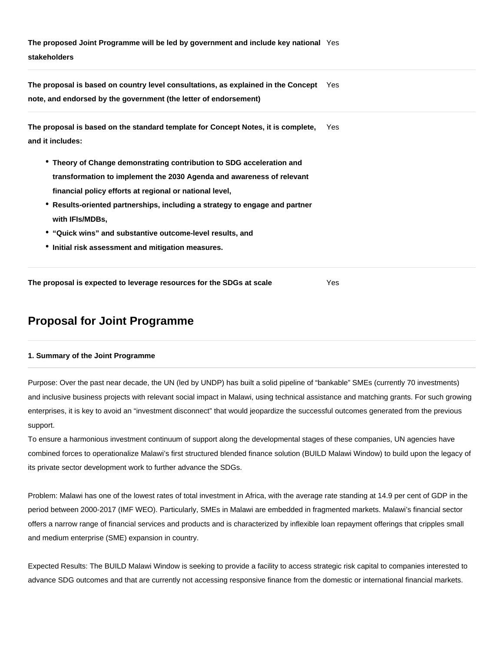**The proposed Joint Programme will be led by government and include key national**  Yes **stakeholders**

**The proposal is based on country level consultations, as explained in the Concept**  Yes **note, and endorsed by the government (the letter of endorsement)**

| The proposal is based on the standard template for Concept Notes, it is complete, | Yes |
|-----------------------------------------------------------------------------------|-----|
| and it includes:                                                                  |     |

- **Theory of Change demonstrating contribution to SDG acceleration and transformation to implement the 2030 Agenda and awareness of relevant financial policy efforts at regional or national level,**
- **Results-oriented partnerships, including a strategy to engage and partner with IFIs/MDBs,**
- **"Quick wins" and substantive outcome-level results, and**
- **Initial risk assessment and mitigation measures.**

**The proposal is expected to leverage resources for the SDGs at scale** Yes

# **Proposal for Joint Programme**

## **1. Summary of the Joint Programme**

Purpose: Over the past near decade, the UN (led by UNDP) has built a solid pipeline of "bankable" SMEs (currently 70 investments) and inclusive business projects with relevant social impact in Malawi, using technical assistance and matching grants. For such growing enterprises, it is key to avoid an "investment disconnect" that would jeopardize the successful outcomes generated from the previous support.

To ensure a harmonious investment continuum of support along the developmental stages of these companies, UN agencies have combined forces to operationalize Malawi's first structured blended finance solution (BUILD Malawi Window) to build upon the legacy of its private sector development work to further advance the SDGs.

Problem: Malawi has one of the lowest rates of total investment in Africa, with the average rate standing at 14.9 per cent of GDP in the period between 2000-2017 (IMF WEO). Particularly, SMEs in Malawi are embedded in fragmented markets. Malawi's financial sector offers a narrow range of financial services and products and is characterized by inflexible loan repayment offerings that cripples small and medium enterprise (SME) expansion in country.

Expected Results: The BUILD Malawi Window is seeking to provide a facility to access strategic risk capital to companies interested to advance SDG outcomes and that are currently not accessing responsive finance from the domestic or international financial markets.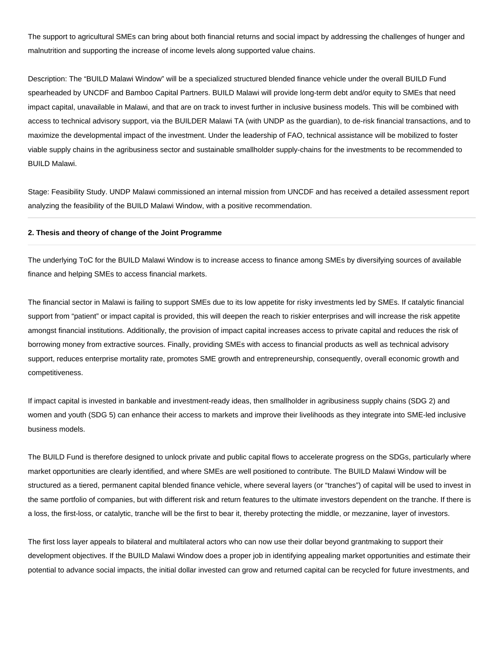The support to agricultural SMEs can bring about both financial returns and social impact by addressing the challenges of hunger and malnutrition and supporting the increase of income levels along supported value chains.

Description: The "BUILD Malawi Window" will be a specialized structured blended finance vehicle under the overall BUILD Fund spearheaded by UNCDF and Bamboo Capital Partners. BUILD Malawi will provide long-term debt and/or equity to SMEs that need impact capital, unavailable in Malawi, and that are on track to invest further in inclusive business models. This will be combined with access to technical advisory support, via the BUILDER Malawi TA (with UNDP as the guardian), to de-risk financial transactions, and to maximize the developmental impact of the investment. Under the leadership of FAO, technical assistance will be mobilized to foster viable supply chains in the agribusiness sector and sustainable smallholder supply-chains for the investments to be recommended to BUILD Malawi.

Stage: Feasibility Study. UNDP Malawi commissioned an internal mission from UNCDF and has received a detailed assessment report analyzing the feasibility of the BUILD Malawi Window, with a positive recommendation.

## **2. Thesis and theory of change of the Joint Programme**

The underlying ToC for the BUILD Malawi Window is to increase access to finance among SMEs by diversifying sources of available finance and helping SMEs to access financial markets.

The financial sector in Malawi is failing to support SMEs due to its low appetite for risky investments led by SMEs. If catalytic financial support from "patient" or impact capital is provided, this will deepen the reach to riskier enterprises and will increase the risk appetite amongst financial institutions. Additionally, the provision of impact capital increases access to private capital and reduces the risk of borrowing money from extractive sources. Finally, providing SMEs with access to financial products as well as technical advisory support, reduces enterprise mortality rate, promotes SME growth and entrepreneurship, consequently, overall economic growth and competitiveness.

If impact capital is invested in bankable and investment-ready ideas, then smallholder in agribusiness supply chains (SDG 2) and women and youth (SDG 5) can enhance their access to markets and improve their livelihoods as they integrate into SME-led inclusive business models.

The BUILD Fund is therefore designed to unlock private and public capital flows to accelerate progress on the SDGs, particularly where market opportunities are clearly identified, and where SMEs are well positioned to contribute. The BUILD Malawi Window will be structured as a tiered, permanent capital blended finance vehicle, where several layers (or "tranches") of capital will be used to invest in the same portfolio of companies, but with different risk and return features to the ultimate investors dependent on the tranche. If there is a loss, the first-loss, or catalytic, tranche will be the first to bear it, thereby protecting the middle, or mezzanine, layer of investors.

The first loss layer appeals to bilateral and multilateral actors who can now use their dollar beyond grantmaking to support their development objectives. If the BUILD Malawi Window does a proper job in identifying appealing market opportunities and estimate their potential to advance social impacts, the initial dollar invested can grow and returned capital can be recycled for future investments, and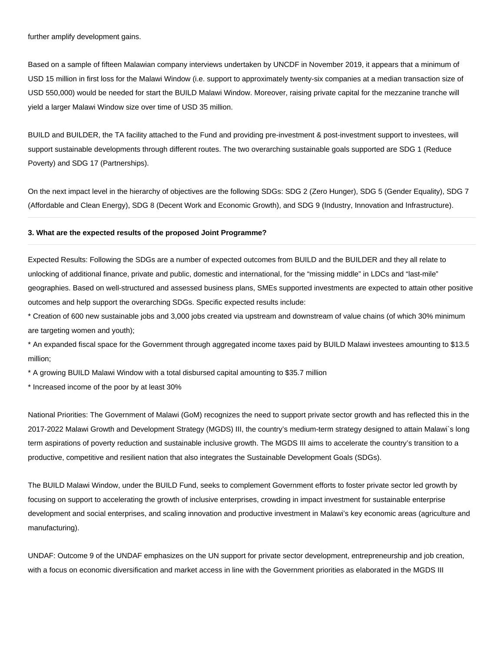further amplify development gains.

Based on a sample of fifteen Malawian company interviews undertaken by UNCDF in November 2019, it appears that a minimum of USD 15 million in first loss for the Malawi Window (i.e. support to approximately twenty-six companies at a median transaction size of USD 550,000) would be needed for start the BUILD Malawi Window. Moreover, raising private capital for the mezzanine tranche will yield a larger Malawi Window size over time of USD 35 million.

BUILD and BUILDER, the TA facility attached to the Fund and providing pre-investment & post-investment support to investees, will support sustainable developments through different routes. The two overarching sustainable goals supported are SDG 1 (Reduce Poverty) and SDG 17 (Partnerships).

On the next impact level in the hierarchy of objectives are the following SDGs: SDG 2 (Zero Hunger), SDG 5 (Gender Equality), SDG 7 (Affordable and Clean Energy), SDG 8 (Decent Work and Economic Growth), and SDG 9 (Industry, Innovation and Infrastructure).

## **3. What are the expected results of the proposed Joint Programme?**

Expected Results: Following the SDGs are a number of expected outcomes from BUILD and the BUILDER and they all relate to unlocking of additional finance, private and public, domestic and international, for the "missing middle" in LDCs and "last-mile" geographies. Based on well-structured and assessed business plans, SMEs supported investments are expected to attain other positive outcomes and help support the overarching SDGs. Specific expected results include:

\* Creation of 600 new sustainable jobs and 3,000 jobs created via upstream and downstream of value chains (of which 30% minimum are targeting women and youth);

\* An expanded fiscal space for the Government through aggregated income taxes paid by BUILD Malawi investees amounting to \$13.5 million;

\* A growing BUILD Malawi Window with a total disbursed capital amounting to \$35.7 million

\* Increased income of the poor by at least 30%

National Priorities: The Government of Malawi (GoM) recognizes the need to support private sector growth and has reflected this in the 2017-2022 Malawi Growth and Development Strategy (MGDS) III, the country's medium-term strategy designed to attain Malawi`s long term aspirations of poverty reduction and sustainable inclusive growth. The MGDS III aims to accelerate the country's transition to a productive, competitive and resilient nation that also integrates the Sustainable Development Goals (SDGs).

The BUILD Malawi Window, under the BUILD Fund, seeks to complement Government efforts to foster private sector led growth by focusing on support to accelerating the growth of inclusive enterprises, crowding in impact investment for sustainable enterprise development and social enterprises, and scaling innovation and productive investment in Malawi's key economic areas (agriculture and manufacturing).

UNDAF: Outcome 9 of the UNDAF emphasizes on the UN support for private sector development, entrepreneurship and job creation, with a focus on economic diversification and market access in line with the Government priorities as elaborated in the MGDS III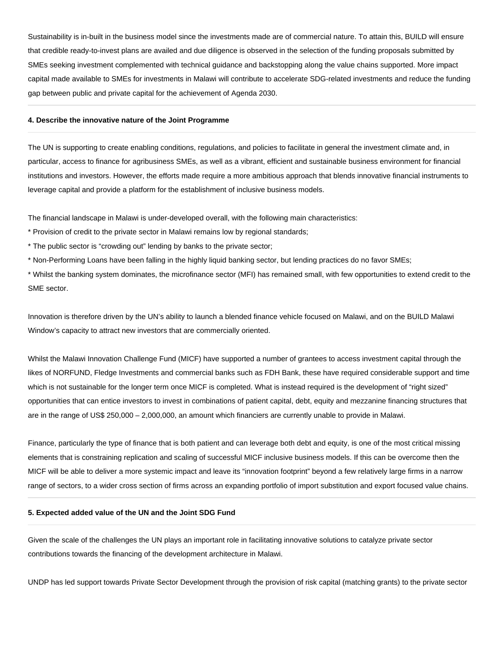Sustainability is in-built in the business model since the investments made are of commercial nature. To attain this, BUILD will ensure that credible ready-to-invest plans are availed and due diligence is observed in the selection of the funding proposals submitted by SMEs seeking investment complemented with technical guidance and backstopping along the value chains supported. More impact capital made available to SMEs for investments in Malawi will contribute to accelerate SDG-related investments and reduce the funding gap between public and private capital for the achievement of Agenda 2030.

#### **4. Describe the innovative nature of the Joint Programme**

The UN is supporting to create enabling conditions, regulations, and policies to facilitate in general the investment climate and, in particular, access to finance for agribusiness SMEs, as well as a vibrant, efficient and sustainable business environment for financial institutions and investors. However, the efforts made require a more ambitious approach that blends innovative financial instruments to leverage capital and provide a platform for the establishment of inclusive business models.

The financial landscape in Malawi is under-developed overall, with the following main characteristics:

- \* Provision of credit to the private sector in Malawi remains low by regional standards;
- \* The public sector is "crowding out" lending by banks to the private sector;
- \* Non-Performing Loans have been falling in the highly liquid banking sector, but lending practices do no favor SMEs;

\* Whilst the banking system dominates, the microfinance sector (MFI) has remained small, with few opportunities to extend credit to the SME sector.

Innovation is therefore driven by the UN's ability to launch a blended finance vehicle focused on Malawi, and on the BUILD Malawi Window's capacity to attract new investors that are commercially oriented.

Whilst the Malawi Innovation Challenge Fund (MICF) have supported a number of grantees to access investment capital through the likes of NORFUND, Fledge Investments and commercial banks such as FDH Bank, these have required considerable support and time which is not sustainable for the longer term once MICF is completed. What is instead required is the development of "right sized" opportunities that can entice investors to invest in combinations of patient capital, debt, equity and mezzanine financing structures that are in the range of US\$ 250,000 – 2,000,000, an amount which financiers are currently unable to provide in Malawi.

Finance, particularly the type of finance that is both patient and can leverage both debt and equity, is one of the most critical missing elements that is constraining replication and scaling of successful MICF inclusive business models. If this can be overcome then the MICF will be able to deliver a more systemic impact and leave its "innovation footprint" beyond a few relatively large firms in a narrow range of sectors, to a wider cross section of firms across an expanding portfolio of import substitution and export focused value chains.

## **5. Expected added value of the UN and the Joint SDG Fund**

Given the scale of the challenges the UN plays an important role in facilitating innovative solutions to catalyze private sector contributions towards the financing of the development architecture in Malawi.

UNDP has led support towards Private Sector Development through the provision of risk capital (matching grants) to the private sector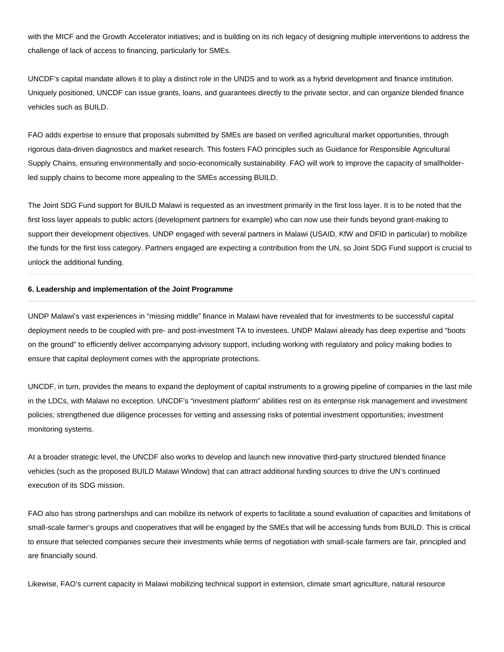with the MICF and the Growth Accelerator initiatives; and is building on its rich legacy of designing multiple interventions to address the challenge of lack of access to financing, particularly for SMEs.

UNCDF's capital mandate allows it to play a distinct role in the UNDS and to work as a hybrid development and finance institution. Uniquely positioned, UNCDF can issue grants, loans, and guarantees directly to the private sector, and can organize blended finance vehicles such as BUILD.

FAO adds expertise to ensure that proposals submitted by SMEs are based on verified agricultural market opportunities, through rigorous data-driven diagnostics and market research. This fosters FAO principles such as Guidance for Responsible Agricultural Supply Chains, ensuring environmentally and socio-economically sustainability. FAO will work to improve the capacity of smallholderled supply chains to become more appealing to the SMEs accessing BUILD.

The Joint SDG Fund support for BUILD Malawi is requested as an investment primarily in the first loss layer. It is to be noted that the first loss layer appeals to public actors (development partners for example) who can now use their funds beyond grant-making to support their development objectives. UNDP engaged with several partners in Malawi (USAID, KfW and DFID in particular) to mobilize the funds for the first loss category. Partners engaged are expecting a contribution from the UN, so Joint SDG Fund support is crucial to unlock the additional funding.

## **6. Leadership and implementation of the Joint Programme**

UNDP Malawi's vast experiences in "missing middle" finance in Malawi have revealed that for investments to be successful capital deployment needs to be coupled with pre- and post-investment TA to investees. UNDP Malawi already has deep expertise and "boots on the ground" to efficiently deliver accompanying advisory support, including working with regulatory and policy making bodies to ensure that capital deployment comes with the appropriate protections.

UNCDF, in turn, provides the means to expand the deployment of capital instruments to a growing pipeline of companies in the last mile in the LDCs, with Malawi no exception. UNCDF's "investment platform" abilities rest on its enterprise risk management and investment policies; strengthened due diligence processes for vetting and assessing risks of potential investment opportunities; investment monitoring systems.

At a broader strategic level, the UNCDF also works to develop and launch new innovative third-party structured blended finance vehicles (such as the proposed BUILD Malawi Window) that can attract additional funding sources to drive the UN's continued execution of its SDG mission.

FAO also has strong partnerships and can mobilize its network of experts to facilitate a sound evaluation of capacities and limitations of small-scale farmer's groups and cooperatives that will be engaged by the SMEs that will be accessing funds from BUILD. This is critical to ensure that selected companies secure their investments while terms of negotiation with small-scale farmers are fair, principled and are financially sound.

Likewise, FAO's current capacity in Malawi mobilizing technical support in extension, climate smart agriculture, natural resource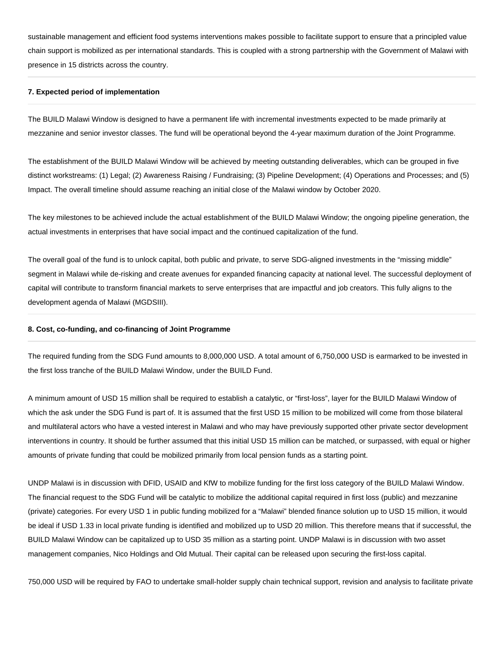sustainable management and efficient food systems interventions makes possible to facilitate support to ensure that a principled value chain support is mobilized as per international standards. This is coupled with a strong partnership with the Government of Malawi with presence in 15 districts across the country.

#### **7. Expected period of implementation**

The BUILD Malawi Window is designed to have a permanent life with incremental investments expected to be made primarily at mezzanine and senior investor classes. The fund will be operational beyond the 4-year maximum duration of the Joint Programme.

The establishment of the BUILD Malawi Window will be achieved by meeting outstanding deliverables, which can be grouped in five distinct workstreams: (1) Legal; (2) Awareness Raising / Fundraising; (3) Pipeline Development; (4) Operations and Processes; and (5) Impact. The overall timeline should assume reaching an initial close of the Malawi window by October 2020.

The key milestones to be achieved include the actual establishment of the BUILD Malawi Window; the ongoing pipeline generation, the actual investments in enterprises that have social impact and the continued capitalization of the fund.

The overall goal of the fund is to unlock capital, both public and private, to serve SDG-aligned investments in the "missing middle" segment in Malawi while de-risking and create avenues for expanded financing capacity at national level. The successful deployment of capital will contribute to transform financial markets to serve enterprises that are impactful and job creators. This fully aligns to the development agenda of Malawi (MGDSIII).

#### **8. Cost, co-funding, and co-financing of Joint Programme**

The required funding from the SDG Fund amounts to 8,000,000 USD. A total amount of 6,750,000 USD is earmarked to be invested in the first loss tranche of the BUILD Malawi Window, under the BUILD Fund.

A minimum amount of USD 15 million shall be required to establish a catalytic, or "first-loss", layer for the BUILD Malawi Window of which the ask under the SDG Fund is part of. It is assumed that the first USD 15 million to be mobilized will come from those bilateral and multilateral actors who have a vested interest in Malawi and who may have previously supported other private sector development interventions in country. It should be further assumed that this initial USD 15 million can be matched, or surpassed, with equal or higher amounts of private funding that could be mobilized primarily from local pension funds as a starting point.

UNDP Malawi is in discussion with DFID, USAID and KfW to mobilize funding for the first loss category of the BUILD Malawi Window. The financial request to the SDG Fund will be catalytic to mobilize the additional capital required in first loss (public) and mezzanine (private) categories. For every USD 1 in public funding mobilized for a "Malawi" blended finance solution up to USD 15 million, it would be ideal if USD 1.33 in local private funding is identified and mobilized up to USD 20 million. This therefore means that if successful, the BUILD Malawi Window can be capitalized up to USD 35 million as a starting point. UNDP Malawi is in discussion with two asset management companies, Nico Holdings and Old Mutual. Their capital can be released upon securing the first-loss capital.

750,000 USD will be required by FAO to undertake small-holder supply chain technical support, revision and analysis to facilitate private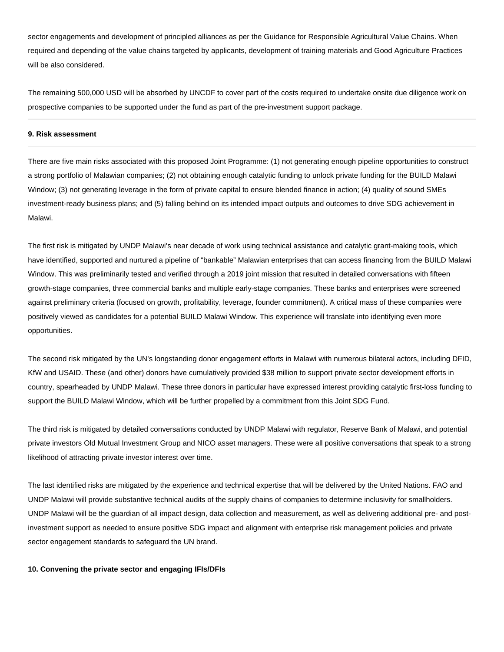sector engagements and development of principled alliances as per the Guidance for Responsible Agricultural Value Chains. When required and depending of the value chains targeted by applicants, development of training materials and Good Agriculture Practices will be also considered.

The remaining 500,000 USD will be absorbed by UNCDF to cover part of the costs required to undertake onsite due diligence work on prospective companies to be supported under the fund as part of the pre-investment support package.

## **9. Risk assessment**

There are five main risks associated with this proposed Joint Programme: (1) not generating enough pipeline opportunities to construct a strong portfolio of Malawian companies; (2) not obtaining enough catalytic funding to unlock private funding for the BUILD Malawi Window; (3) not generating leverage in the form of private capital to ensure blended finance in action; (4) quality of sound SMEs investment-ready business plans; and (5) falling behind on its intended impact outputs and outcomes to drive SDG achievement in Malawi.

The first risk is mitigated by UNDP Malawi's near decade of work using technical assistance and catalytic grant-making tools, which have identified, supported and nurtured a pipeline of "bankable" Malawian enterprises that can access financing from the BUILD Malawi Window. This was preliminarily tested and verified through a 2019 joint mission that resulted in detailed conversations with fifteen growth-stage companies, three commercial banks and multiple early-stage companies. These banks and enterprises were screened against preliminary criteria (focused on growth, profitability, leverage, founder commitment). A critical mass of these companies were positively viewed as candidates for a potential BUILD Malawi Window. This experience will translate into identifying even more opportunities.

The second risk mitigated by the UN's longstanding donor engagement efforts in Malawi with numerous bilateral actors, including DFID, KfW and USAID. These (and other) donors have cumulatively provided \$38 million to support private sector development efforts in country, spearheaded by UNDP Malawi. These three donors in particular have expressed interest providing catalytic first-loss funding to support the BUILD Malawi Window, which will be further propelled by a commitment from this Joint SDG Fund.

The third risk is mitigated by detailed conversations conducted by UNDP Malawi with regulator, Reserve Bank of Malawi, and potential private investors Old Mutual Investment Group and NICO asset managers. These were all positive conversations that speak to a strong likelihood of attracting private investor interest over time.

The last identified risks are mitigated by the experience and technical expertise that will be delivered by the United Nations. FAO and UNDP Malawi will provide substantive technical audits of the supply chains of companies to determine inclusivity for smallholders. UNDP Malawi will be the guardian of all impact design, data collection and measurement, as well as delivering additional pre- and postinvestment support as needed to ensure positive SDG impact and alignment with enterprise risk management policies and private sector engagement standards to safeguard the UN brand.

### **10. Convening the private sector and engaging IFIs/DFIs**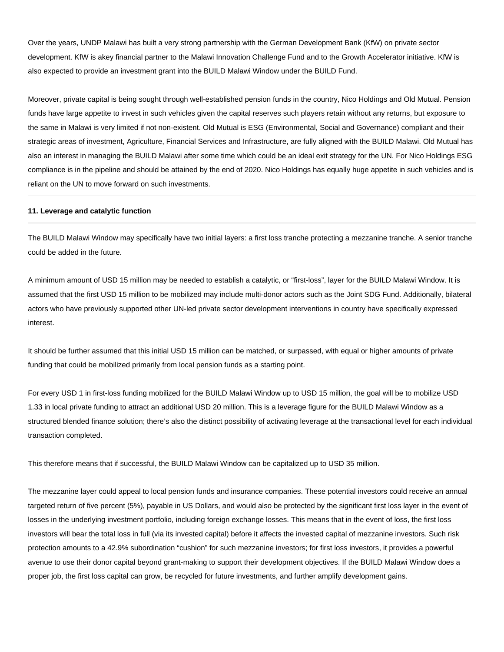Over the years, UNDP Malawi has built a very strong partnership with the German Development Bank (KfW) on private sector development. KfW is akey financial partner to the Malawi Innovation Challenge Fund and to the Growth Accelerator initiative. KfW is also expected to provide an investment grant into the BUILD Malawi Window under the BUILD Fund.

Moreover, private capital is being sought through well-established pension funds in the country, Nico Holdings and Old Mutual. Pension funds have large appetite to invest in such vehicles given the capital reserves such players retain without any returns, but exposure to the same in Malawi is very limited if not non-existent. Old Mutual is ESG (Environmental, Social and Governance) compliant and their strategic areas of investment, Agriculture, Financial Services and Infrastructure, are fully aligned with the BUILD Malawi. Old Mutual has also an interest in managing the BUILD Malawi after some time which could be an ideal exit strategy for the UN. For Nico Holdings ESG compliance is in the pipeline and should be attained by the end of 2020. Nico Holdings has equally huge appetite in such vehicles and is reliant on the UN to move forward on such investments.

## **11. Leverage and catalytic function**

The BUILD Malawi Window may specifically have two initial layers: a first loss tranche protecting a mezzanine tranche. A senior tranche could be added in the future.

A minimum amount of USD 15 million may be needed to establish a catalytic, or "first-loss", layer for the BUILD Malawi Window. It is assumed that the first USD 15 million to be mobilized may include multi-donor actors such as the Joint SDG Fund. Additionally, bilateral actors who have previously supported other UN-led private sector development interventions in country have specifically expressed interest.

It should be further assumed that this initial USD 15 million can be matched, or surpassed, with equal or higher amounts of private funding that could be mobilized primarily from local pension funds as a starting point.

For every USD 1 in first-loss funding mobilized for the BUILD Malawi Window up to USD 15 million, the goal will be to mobilize USD 1.33 in local private funding to attract an additional USD 20 million. This is a leverage figure for the BUILD Malawi Window as a structured blended finance solution; there's also the distinct possibility of activating leverage at the transactional level for each individual transaction completed.

This therefore means that if successful, the BUILD Malawi Window can be capitalized up to USD 35 million.

The mezzanine layer could appeal to local pension funds and insurance companies. These potential investors could receive an annual targeted return of five percent (5%), payable in US Dollars, and would also be protected by the significant first loss layer in the event of losses in the underlying investment portfolio, including foreign exchange losses. This means that in the event of loss, the first loss investors will bear the total loss in full (via its invested capital) before it affects the invested capital of mezzanine investors. Such risk protection amounts to a 42.9% subordination "cushion" for such mezzanine investors; for first loss investors, it provides a powerful avenue to use their donor capital beyond grant-making to support their development objectives. If the BUILD Malawi Window does a proper job, the first loss capital can grow, be recycled for future investments, and further amplify development gains.